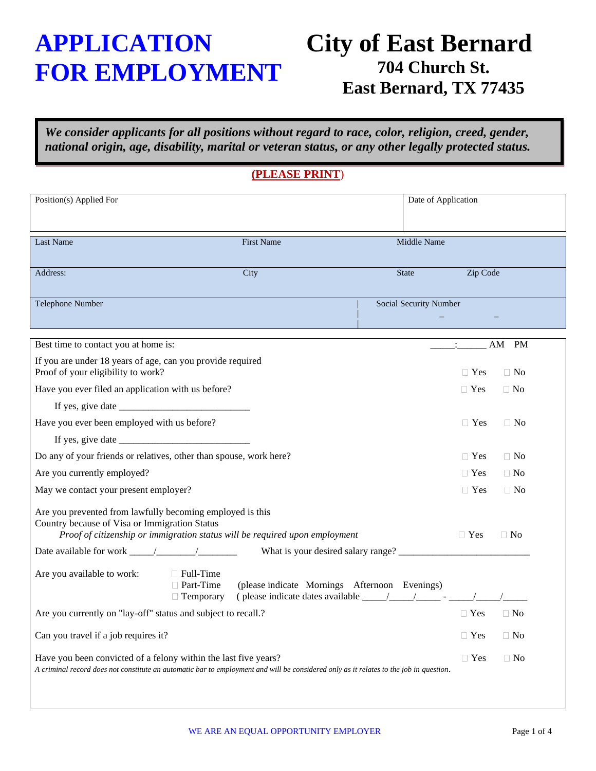# **APPLICATION FOR EMPLOYMENT**

## **City of East Bernard 704 Church St. East Bernard, TX 77435**

*We consider applicants for all positions without regard to race, color, religion, creed, gender, national origin, age, disability, marital or veteran status, or any other legally protected status.*

### **(PLEASE PRINT**)

| Position(s) Applied For                                                                                                                                                                                                                                                               | Date of Application    |            |           |
|---------------------------------------------------------------------------------------------------------------------------------------------------------------------------------------------------------------------------------------------------------------------------------------|------------------------|------------|-----------|
|                                                                                                                                                                                                                                                                                       |                        |            |           |
|                                                                                                                                                                                                                                                                                       |                        |            |           |
| <b>First Name</b><br>Last Name                                                                                                                                                                                                                                                        | Middle Name            |            |           |
| City<br>Address:                                                                                                                                                                                                                                                                      | <b>State</b>           | Zip Code   |           |
|                                                                                                                                                                                                                                                                                       |                        |            |           |
| Telephone Number                                                                                                                                                                                                                                                                      | Social Security Number |            |           |
|                                                                                                                                                                                                                                                                                       |                        |            |           |
|                                                                                                                                                                                                                                                                                       |                        |            |           |
| Best time to contact you at home is:                                                                                                                                                                                                                                                  |                        |            | AM<br>PM  |
| If you are under 18 years of age, can you provide required<br>Proof of your eligibility to work?                                                                                                                                                                                      |                        | $\Box$ Yes | $\Box$ No |
| Have you ever filed an application with us before?                                                                                                                                                                                                                                    |                        | $\Box$ Yes | $\Box$ No |
|                                                                                                                                                                                                                                                                                       |                        |            |           |
| Have you ever been employed with us before?                                                                                                                                                                                                                                           |                        | $\Box$ Yes | $\Box$ No |
| If yes, give date $\frac{1}{2}$ and $\frac{1}{2}$ and $\frac{1}{2}$ and $\frac{1}{2}$ and $\frac{1}{2}$ are date $\frac{1}{2}$ and $\frac{1}{2}$ and $\frac{1}{2}$ are defined as $\frac{1}{2}$ and $\frac{1}{2}$ and $\frac{1}{2}$ and $\frac{1}{2}$ and $\frac{1}{2}$ and $\frac{1$ |                        |            |           |
| Do any of your friends or relatives, other than spouse, work here?                                                                                                                                                                                                                    |                        | $\Box$ Yes | $\Box$ No |
| Are you currently employed?                                                                                                                                                                                                                                                           |                        | $\Box$ Yes | $\Box$ No |
| May we contact your present employer?                                                                                                                                                                                                                                                 |                        | $\Box$ Yes | $\Box$ No |
| Are you prevented from lawfully becoming employed is this<br>Country because of Visa or Immigration Status                                                                                                                                                                            |                        |            |           |
| Proof of citizenship or immigration status will be required upon employment                                                                                                                                                                                                           |                        | $\Box$ Yes | $\Box$ No |
|                                                                                                                                                                                                                                                                                       |                        |            |           |
| Are you available to work:<br>$\Box$ Full-Time<br>□ Part-Time<br>(please indicate Mornings Afternoon Evenings)                                                                                                                                                                        |                        |            |           |
| (please indicate dates available $\frac{\sqrt{2}}{2}$ - $\frac{\sqrt{2}}{2}$<br>$\Box$ Temporary                                                                                                                                                                                      |                        |            |           |
| Are you currently on "lay-off" status and subject to recall.?                                                                                                                                                                                                                         |                        | $\Box$ Yes | $\Box$ No |
| Can you travel if a job requires it?                                                                                                                                                                                                                                                  |                        | $\Box$ Yes | $\Box$ No |
| Have you been convicted of a felony within the last five years?<br>A criminal record does not constitute an automatic bar to employment and will be considered only as it relates to the job in question.                                                                             |                        | $\Box$ Yes | $\Box$ No |
|                                                                                                                                                                                                                                                                                       |                        |            |           |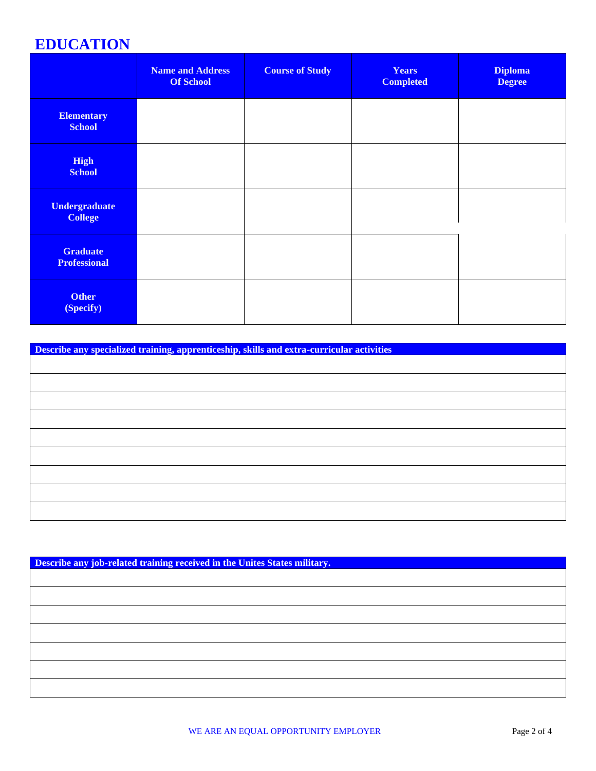### **EDUCATION**

|                                        | <b>Name and Address</b><br><b>Of School</b> | <b>Course of Study</b> | <b>Years</b><br><b>Completed</b> | <b>Diploma</b><br><b>Degree</b> |
|----------------------------------------|---------------------------------------------|------------------------|----------------------------------|---------------------------------|
| <b>Elementary</b><br><b>School</b>     |                                             |                        |                                  |                                 |
| <b>High</b><br><b>School</b>           |                                             |                        |                                  |                                 |
| <b>Undergraduate</b><br><b>College</b> |                                             |                        |                                  |                                 |
| <b>Graduate</b><br><b>Professional</b> |                                             |                        |                                  |                                 |
| <b>Other</b><br>(Specify)              |                                             |                        |                                  |                                 |

**Describe any specialized training, apprenticeship, skills and extra-curricular activities**

| Describe any job-related training received in the Unites States military. |  |  |  |  |
|---------------------------------------------------------------------------|--|--|--|--|
|                                                                           |  |  |  |  |
|                                                                           |  |  |  |  |
|                                                                           |  |  |  |  |
|                                                                           |  |  |  |  |
|                                                                           |  |  |  |  |
|                                                                           |  |  |  |  |
|                                                                           |  |  |  |  |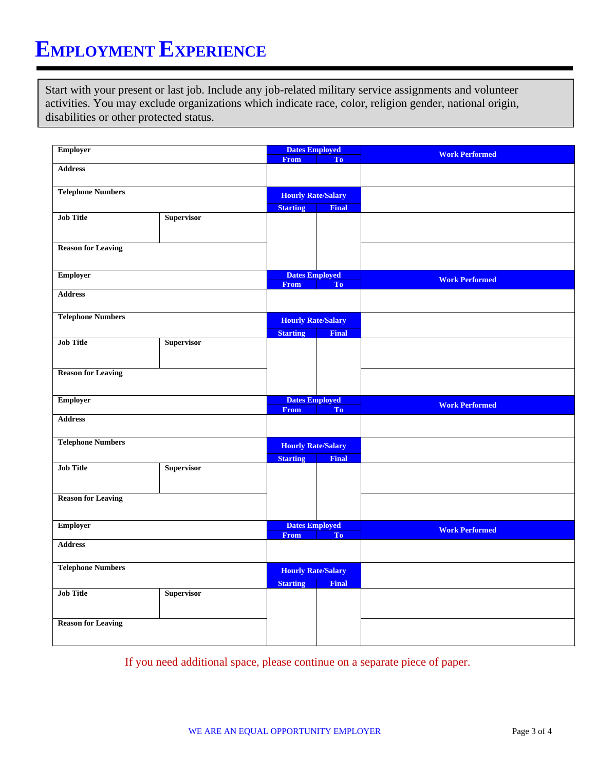## **EMPLOYMENT EXPERIENCE**

Start with your present or last job. Include any job-related military service assignments and volunteer activities. You may exclude organizations which indicate race, color, religion gender, national origin, disabilities or other protected status.

| <b>Employer</b>           | <b>Dates Employed</b> |                           |                |                       |  |  |
|---------------------------|-----------------------|---------------------------|----------------|-----------------------|--|--|
|                           |                       | <b>From</b>               | To             | <b>Work Performed</b> |  |  |
| <b>Address</b>            |                       |                           |                |                       |  |  |
| <b>Telephone Numbers</b>  |                       | <b>Hourly Rate/Salary</b> |                |                       |  |  |
|                           |                       | <b>Starting</b>           | <b>Final</b>   |                       |  |  |
| <b>Job Title</b>          | <b>Supervisor</b>     |                           |                |                       |  |  |
| <b>Reason for Leaving</b> |                       |                           |                |                       |  |  |
| <b>Employer</b>           |                       | <b>Dates Employed</b>     |                | <b>Work Performed</b> |  |  |
|                           |                       | <b>From</b>               | To             |                       |  |  |
| <b>Address</b>            |                       |                           |                |                       |  |  |
| <b>Telephone Numbers</b>  |                       | <b>Hourly Rate/Salary</b> |                |                       |  |  |
|                           |                       | <b>Starting</b>           | Final          |                       |  |  |
| <b>Job Title</b>          | <b>Supervisor</b>     |                           |                |                       |  |  |
| <b>Reason for Leaving</b> |                       |                           |                |                       |  |  |
| <b>Employer</b>           |                       | <b>Dates Employed</b>     |                | <b>Work Performed</b> |  |  |
| <b>Address</b>            |                       | <b>From</b>               | T <sub>o</sub> |                       |  |  |
|                           |                       |                           |                |                       |  |  |
| <b>Telephone Numbers</b>  |                       | <b>Hourly Rate/Salary</b> |                |                       |  |  |
|                           |                       | <b>Starting</b>           | <b>Final</b>   |                       |  |  |
| <b>Job Title</b>          | <b>Supervisor</b>     |                           |                |                       |  |  |
| <b>Reason for Leaving</b> |                       |                           |                |                       |  |  |
| <b>Employer</b>           |                       | <b>Dates Employed</b>     |                |                       |  |  |
|                           |                       | <b>From</b>               | T <sub>0</sub> | <b>Work Performed</b> |  |  |
| <b>Address</b>            |                       |                           |                |                       |  |  |
| <b>Telephone Numbers</b>  |                       | <b>Hourly Rate/Salary</b> |                |                       |  |  |
| <b>Job Title</b>          | <b>Supervisor</b>     | <b>Starting</b>           | <b>Final</b>   |                       |  |  |
|                           |                       |                           |                |                       |  |  |
| <b>Reason for Leaving</b> |                       |                           |                |                       |  |  |

If you need additional space, please continue on a separate piece of paper.